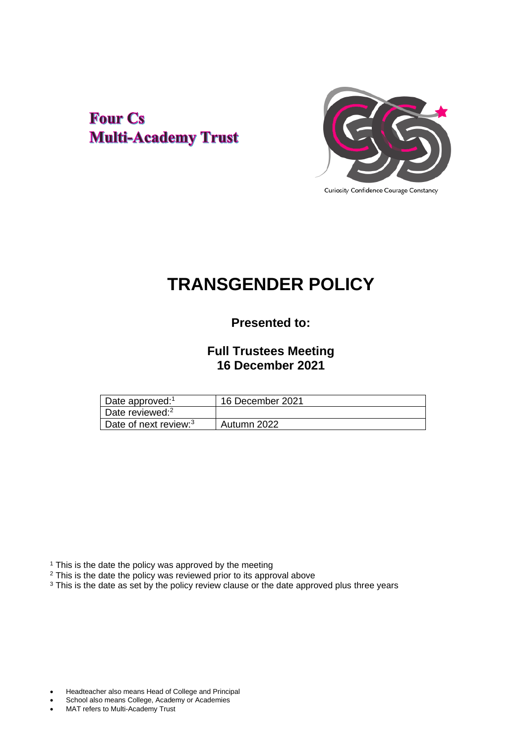# **Four Cs Multi-Academy Trust**



Curiosity Confidence Courage Constancy

# **TRANSGENDER POLICY**

# **Presented to:**

## **Full Trustees Meeting 16 December 2021**

| Date approved: <sup>1</sup>       | 16 December 2021 |
|-----------------------------------|------------------|
| Date reviewed: <sup>2</sup>       |                  |
| Date of next review: <sup>3</sup> | Autumn 2022      |

<sup>1</sup> This is the date the policy was approved by the meeting

<sup>2</sup> This is the date the policy was reviewed prior to its approval above

<sup>3</sup> This is the date as set by the policy review clause or the date approved plus three years

- Headteacher also means Head of College and Principal
- School also means College, Academy or Academies
- MAT refers to Multi-Academy Trust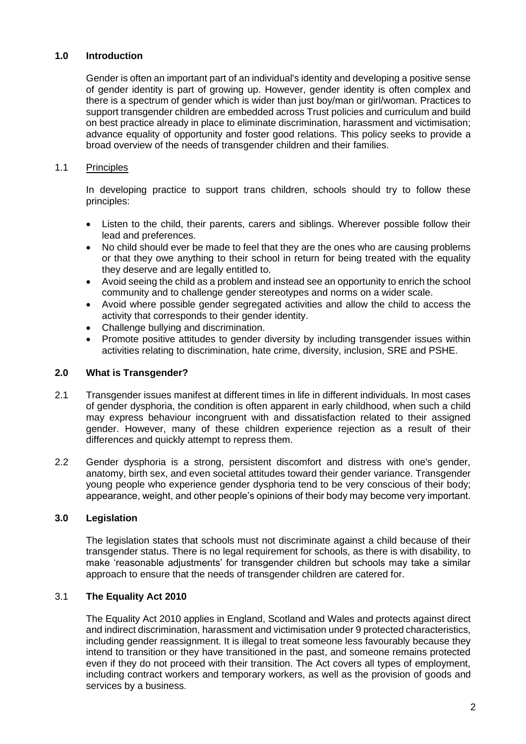#### **1.0 Introduction**

Gender is often an important part of an individual's identity and developing a positive sense of gender identity is part of growing up. However, gender identity is often complex and there is a spectrum of gender which is wider than just boy/man or girl/woman. Practices to support transgender children are embedded across Trust policies and curriculum and build on best practice already in place to eliminate discrimination, harassment and victimisation; advance equality of opportunity and foster good relations. This policy seeks to provide a broad overview of the needs of transgender children and their families.

#### 1.1 Principles

In developing practice to support trans children, schools should try to follow these principles:

- Listen to the child, their parents, carers and siblings. Wherever possible follow their lead and preferences.
- No child should ever be made to feel that they are the ones who are causing problems or that they owe anything to their school in return for being treated with the equality they deserve and are legally entitled to.
- Avoid seeing the child as a problem and instead see an opportunity to enrich the school community and to challenge gender stereotypes and norms on a wider scale.
- Avoid where possible gender segregated activities and allow the child to access the activity that corresponds to their gender identity.
- Challenge bullying and discrimination.
- Promote positive attitudes to gender diversity by including transgender issues within activities relating to discrimination, hate crime, diversity, inclusion, SRE and PSHE.

#### **2.0 What is Transgender?**

- 2.1 Transgender issues manifest at different times in life in different individuals. In most cases of gender dysphoria, the condition is often apparent in early childhood, when such a child may express behaviour incongruent with and dissatisfaction related to their assigned gender. However, many of these children experience rejection as a result of their differences and quickly attempt to repress them.
- 2.2 Gender dysphoria is a strong, persistent discomfort and distress with one's gender, anatomy, birth sex, and even societal attitudes toward their gender variance. Transgender young people who experience gender dysphoria tend to be very conscious of their body; appearance, weight, and other people's opinions of their body may become very important.

#### **3.0 Legislation**

The legislation states that schools must not discriminate against a child because of their transgender status. There is no legal requirement for schools, as there is with disability, to make 'reasonable adjustments' for transgender children but schools may take a similar approach to ensure that the needs of transgender children are catered for.

#### 3.1 **The Equality Act 2010**

The Equality Act 2010 applies in England, Scotland and Wales and protects against direct and indirect discrimination, harassment and victimisation under 9 protected characteristics, including gender reassignment. It is illegal to treat someone less favourably because they intend to transition or they have transitioned in the past, and someone remains protected even if they do not proceed with their transition. The Act covers all types of employment, including contract workers and temporary workers, as well as the provision of goods and services by a business.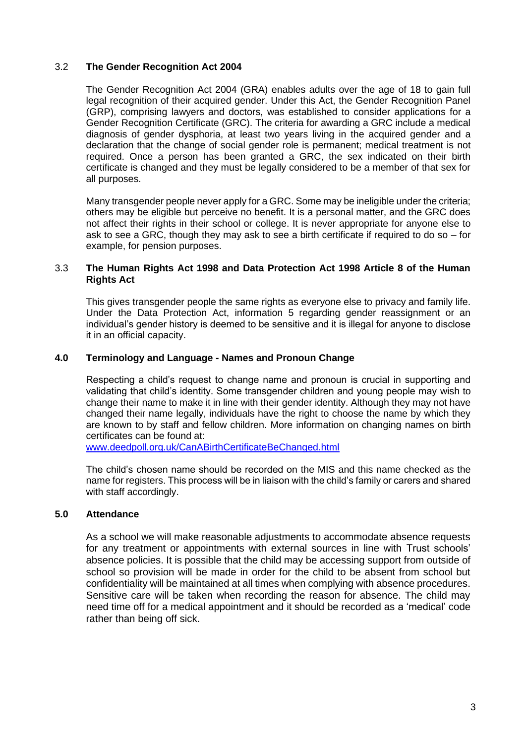#### 3.2 **The Gender Recognition Act 2004**

The Gender Recognition Act 2004 (GRA) enables adults over the age of 18 to gain full legal recognition of their acquired gender. Under this Act, the Gender Recognition Panel (GRP), comprising lawyers and doctors, was established to consider applications for a Gender Recognition Certificate (GRC). The criteria for awarding a GRC include a medical diagnosis of gender dysphoria, at least two years living in the acquired gender and a declaration that the change of social gender role is permanent; medical treatment is not required. Once a person has been granted a GRC, the sex indicated on their birth certificate is changed and they must be legally considered to be a member of that sex for all purposes.

Many transgender people never apply for a GRC. Some may be ineligible under the criteria; others may be eligible but perceive no benefit. It is a personal matter, and the GRC does not affect their rights in their school or college. It is never appropriate for anyone else to ask to see a GRC, though they may ask to see a birth certificate if required to do so – for example, for pension purposes.

#### 3.3 **The Human Rights Act 1998 and Data Protection Act 1998 Article 8 of the Human Rights Act**

This gives transgender people the same rights as everyone else to privacy and family life. Under the Data Protection Act, information 5 regarding gender reassignment or an individual's gender history is deemed to be sensitive and it is illegal for anyone to disclose it in an official capacity.

#### **4.0 Terminology and Language - Names and Pronoun Change**

Respecting a child's request to change name and pronoun is crucial in supporting and validating that child's identity. Some transgender children and young people may wish to change their name to make it in line with their gender identity. Although they may not have changed their name legally, individuals have the right to choose the name by which they are known to by staff and fellow children. More information on changing names on birth certificates can be found at:

[www.deedpoll.org.uk/CanABirthCertificateBeChanged.html](http://www.deedpoll.org.uk/CanABirthCertificateBeChanged.html)

The child's chosen name should be recorded on the MIS and this name checked as the name for registers. This process will be in liaison with the child's family or carers and shared with staff accordingly.

#### **5.0 Attendance**

As a school we will make reasonable adjustments to accommodate absence requests for any treatment or appointments with external sources in line with Trust schools' absence policies. It is possible that the child may be accessing support from outside of school so provision will be made in order for the child to be absent from school but confidentiality will be maintained at all times when complying with absence procedures. Sensitive care will be taken when recording the reason for absence. The child may need time off for a medical appointment and it should be recorded as a 'medical' code rather than being off sick.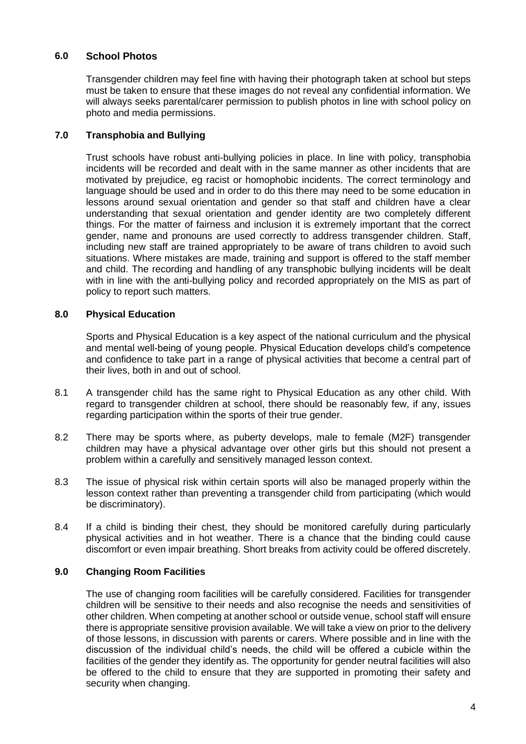### **6.0 School Photos**

Transgender children may feel fine with having their photograph taken at school but steps must be taken to ensure that these images do not reveal any confidential information. We will always seeks parental/carer permission to publish photos in line with school policy on photo and media permissions.

### **7.0 Transphobia and Bullying**

Trust schools have robust anti-bullying policies in place. In line with policy, transphobia incidents will be recorded and dealt with in the same manner as other incidents that are motivated by prejudice, eg racist or homophobic incidents. The correct terminology and language should be used and in order to do this there may need to be some education in lessons around sexual orientation and gender so that staff and children have a clear understanding that sexual orientation and gender identity are two completely different things. For the matter of fairness and inclusion it is extremely important that the correct gender, name and pronouns are used correctly to address transgender children. Staff, including new staff are trained appropriately to be aware of trans children to avoid such situations. Where mistakes are made, training and support is offered to the staff member and child. The recording and handling of any transphobic bullying incidents will be dealt with in line with the anti-bullying policy and recorded appropriately on the MIS as part of policy to report such matters.

#### **8.0 Physical Education**

Sports and Physical Education is a key aspect of the national curriculum and the physical and mental well-being of young people. Physical Education develops child's competence and confidence to take part in a range of physical activities that become a central part of their lives, both in and out of school.

- 8.1 A transgender child has the same right to Physical Education as any other child. With regard to transgender children at school, there should be reasonably few, if any, issues regarding participation within the sports of their true gender.
- 8.2 There may be sports where, as puberty develops, male to female (M2F) transgender children may have a physical advantage over other girls but this should not present a problem within a carefully and sensitively managed lesson context.
- 8.3 The issue of physical risk within certain sports will also be managed properly within the lesson context rather than preventing a transgender child from participating (which would be discriminatory).
- 8.4 If a child is binding their chest, they should be monitored carefully during particularly physical activities and in hot weather. There is a chance that the binding could cause discomfort or even impair breathing. Short breaks from activity could be offered discretely.

#### **9.0 Changing Room Facilities**

The use of changing room facilities will be carefully considered. Facilities for transgender children will be sensitive to their needs and also recognise the needs and sensitivities of other children. When competing at another school or outside venue, school staff will ensure there is appropriate sensitive provision available. We will take a view on prior to the delivery of those lessons, in discussion with parents or carers. Where possible and in line with the discussion of the individual child's needs, the child will be offered a cubicle within the facilities of the gender they identify as. The opportunity for gender neutral facilities will also be offered to the child to ensure that they are supported in promoting their safety and security when changing.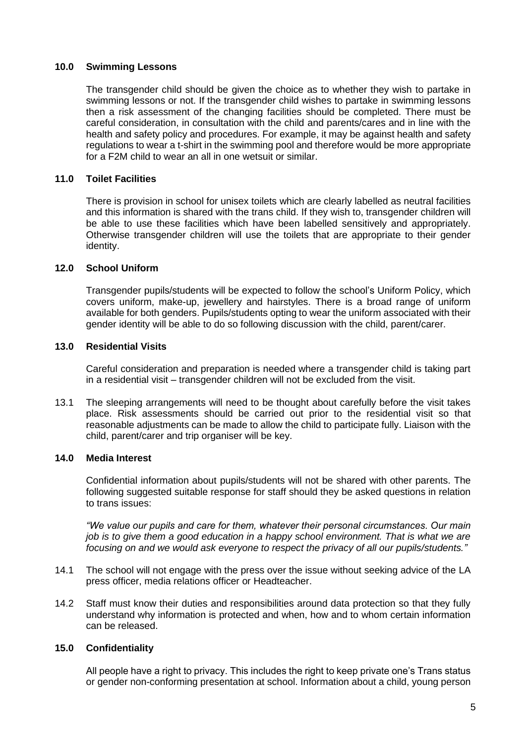#### **10.0 Swimming Lessons**

The transgender child should be given the choice as to whether they wish to partake in swimming lessons or not. If the transgender child wishes to partake in swimming lessons then a risk assessment of the changing facilities should be completed. There must be careful consideration, in consultation with the child and parents/cares and in line with the health and safety policy and procedures. For example, it may be against health and safety regulations to wear a t-shirt in the swimming pool and therefore would be more appropriate for a F2M child to wear an all in one wetsuit or similar.

#### **11.0 Toilet Facilities**

There is provision in school for unisex toilets which are clearly labelled as neutral facilities and this information is shared with the trans child. If they wish to, transgender children will be able to use these facilities which have been labelled sensitively and appropriately. Otherwise transgender children will use the toilets that are appropriate to their gender identity.

#### **12.0 School Uniform**

Transgender pupils/students will be expected to follow the school's Uniform Policy, which covers uniform, make-up, jewellery and hairstyles. There is a broad range of uniform available for both genders. Pupils/students opting to wear the uniform associated with their gender identity will be able to do so following discussion with the child, parent/carer.

#### **13.0 Residential Visits**

Careful consideration and preparation is needed where a transgender child is taking part in a residential visit – transgender children will not be excluded from the visit.

13.1 The sleeping arrangements will need to be thought about carefully before the visit takes place. Risk assessments should be carried out prior to the residential visit so that reasonable adjustments can be made to allow the child to participate fully. Liaison with the child, parent/carer and trip organiser will be key.

#### **14.0 Media Interest**

Confidential information about pupils/students will not be shared with other parents. The following suggested suitable response for staff should they be asked questions in relation to trans issues:

*"We value our pupils and care for them, whatever their personal circumstances. Our main job is to give them a good education in a happy school environment. That is what we are focusing on and we would ask everyone to respect the privacy of all our pupils/students."*

- 14.1 The school will not engage with the press over the issue without seeking advice of the LA press officer, media relations officer or Headteacher.
- 14.2 Staff must know their duties and responsibilities around data protection so that they fully understand why information is protected and when, how and to whom certain information can be released.

#### **15.0 Confidentiality**

All people have a right to privacy. This includes the right to keep private one's Trans status or gender non-conforming presentation at school. Information about a child, young person